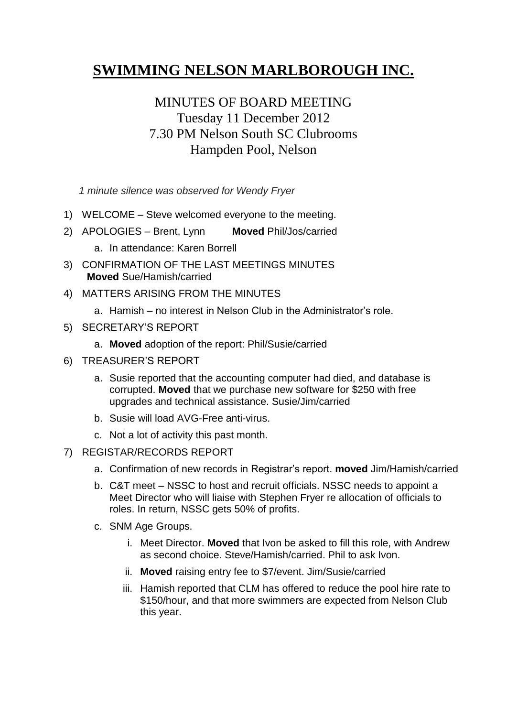## **SWIMMING NELSON MARLBOROUGH INC.**

## MINUTES OF BOARD MEETING Tuesday 11 December 2012 7.30 PM Nelson South SC Clubrooms Hampden Pool, Nelson

*1 minute silence was observed for Wendy Fryer*

- 1) WELCOME Steve welcomed everyone to the meeting.
- 2) APOLOGIES Brent, Lynn **Moved** Phil/Jos/carried
	- a. In attendance: Karen Borrell
- 3) CONFIRMATION OF THE LAST MEETINGS MINUTES **Moved** Sue/Hamish/carried
- 4) MATTERS ARISING FROM THE MINUTES
	- a. Hamish no interest in Nelson Club in the Administrator's role.
- 5) SECRETARY'S REPORT
	- a. **Moved** adoption of the report: Phil/Susie/carried
- 6) TREASURER'S REPORT
	- a. Susie reported that the accounting computer had died, and database is corrupted. **Moved** that we purchase new software for \$250 with free upgrades and technical assistance. Susie/Jim/carried
	- b. Susie will load AVG-Free anti-virus.
	- c. Not a lot of activity this past month.
- 7) REGISTAR/RECORDS REPORT
	- a. Confirmation of new records in Registrar's report. **moved** Jim/Hamish/carried
	- b. C&T meet NSSC to host and recruit officials. NSSC needs to appoint a Meet Director who will liaise with Stephen Fryer re allocation of officials to roles. In return, NSSC gets 50% of profits.
	- c. SNM Age Groups.
		- i. Meet Director. **Moved** that Ivon be asked to fill this role, with Andrew as second choice. Steve/Hamish/carried. Phil to ask Ivon.
		- ii. **Moved** raising entry fee to \$7/event. Jim/Susie/carried
		- iii. Hamish reported that CLM has offered to reduce the pool hire rate to \$150/hour, and that more swimmers are expected from Nelson Club this year.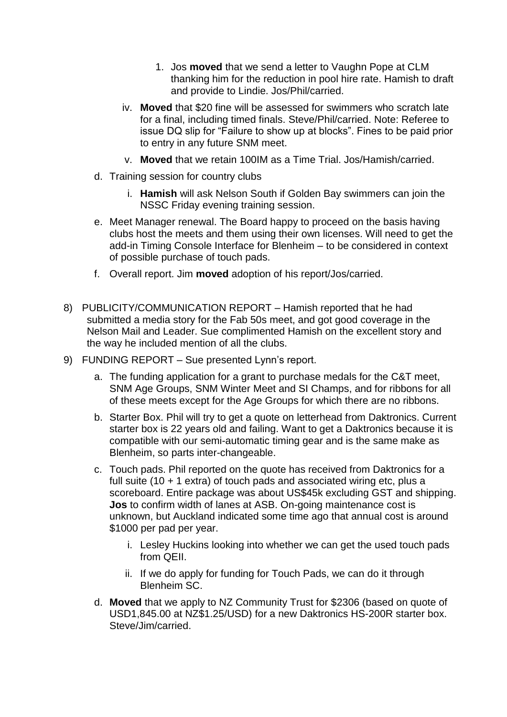- 1. Jos **moved** that we send a letter to Vaughn Pope at CLM thanking him for the reduction in pool hire rate. Hamish to draft and provide to Lindie. Jos/Phil/carried.
- iv. **Moved** that \$20 fine will be assessed for swimmers who scratch late for a final, including timed finals. Steve/Phil/carried. Note: Referee to issue DQ slip for "Failure to show up at blocks". Fines to be paid prior to entry in any future SNM meet.
- v. **Moved** that we retain 100IM as a Time Trial. Jos/Hamish/carried.
- d. Training session for country clubs
	- i. **Hamish** will ask Nelson South if Golden Bay swimmers can join the NSSC Friday evening training session.
- e. Meet Manager renewal. The Board happy to proceed on the basis having clubs host the meets and them using their own licenses. Will need to get the add-in Timing Console Interface for Blenheim – to be considered in context of possible purchase of touch pads.
- f. Overall report. Jim **moved** adoption of his report/Jos/carried.
- 8) PUBLICITY/COMMUNICATION REPORT Hamish reported that he had submitted a media story for the Fab 50s meet, and got good coverage in the Nelson Mail and Leader. Sue complimented Hamish on the excellent story and the way he included mention of all the clubs.
- 9) FUNDING REPORT Sue presented Lynn's report.
	- a. The funding application for a grant to purchase medals for the C&T meet, SNM Age Groups, SNM Winter Meet and SI Champs, and for ribbons for all of these meets except for the Age Groups for which there are no ribbons.
	- b. Starter Box. Phil will try to get a quote on letterhead from Daktronics. Current starter box is 22 years old and failing. Want to get a Daktronics because it is compatible with our semi-automatic timing gear and is the same make as Blenheim, so parts inter-changeable.
	- c. Touch pads. Phil reported on the quote has received from Daktronics for a full suite (10 + 1 extra) of touch pads and associated wiring etc, plus a scoreboard. Entire package was about US\$45k excluding GST and shipping. **Jos** to confirm width of lanes at ASB. On-going maintenance cost is unknown, but Auckland indicated some time ago that annual cost is around \$1000 per pad per year.
		- i. Lesley Huckins looking into whether we can get the used touch pads from QEII.
		- ii. If we do apply for funding for Touch Pads, we can do it through Blenheim SC.
	- d. **Moved** that we apply to NZ Community Trust for \$2306 (based on quote of USD1,845.00 at NZ\$1.25/USD) for a new Daktronics HS-200R starter box. Steve/Jim/carried.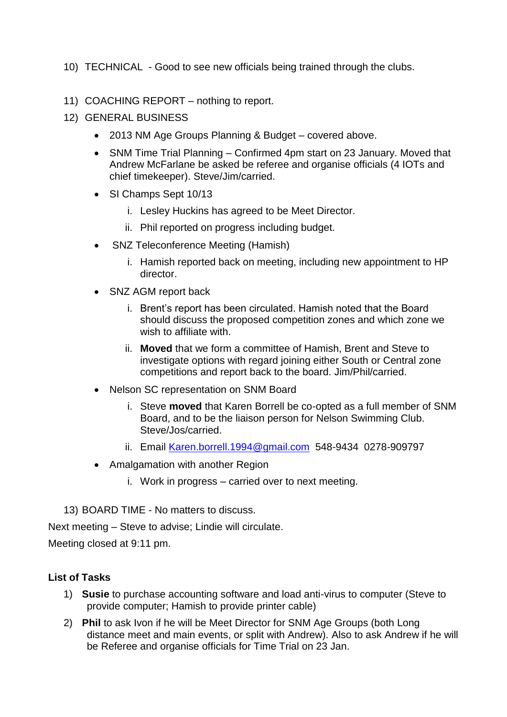- 10) TECHNICAL Good to see new officials being trained through the clubs.
- 11) COACHING REPORT nothing to report.
- 12) GENERAL BUSINESS
	- 2013 NM Age Groups Planning & Budget covered above.
	- SNM Time Trial Planning Confirmed 4pm start on 23 January. Moved that Andrew McFarlane be asked be referee and organise officials (4 IOTs and chief timekeeper). Steve/Jim/carried.
	- SI Champs Sept 10/13
		- i. Lesley Huckins has agreed to be Meet Director.
		- ii. Phil reported on progress including budget.
	- SNZ Teleconference Meeting (Hamish)
		- i. Hamish reported back on meeting, including new appointment to HP director.
	- SNZ AGM report back
		- i. Brent's report has been circulated. Hamish noted that the Board should discuss the proposed competition zones and which zone we wish to affiliate with.
		- ii. **Moved** that we form a committee of Hamish, Brent and Steve to investigate options with regard joining either South or Central zone competitions and report back to the board. Jim/Phil/carried.
	- Nelson SC representation on SNM Board
		- i. Steve **moved** that Karen Borrell be co-opted as a full member of SNM Board, and to be the liaison person for Nelson Swimming Club. Steve/Jos/carried.
		- ii. Email [Karen.borrell.1994@gmail.com](mailto:Karen.borrell.1994@gmail.com) 548-9434 0278-909797
	- Amalgamation with another Region
		- i. Work in progress carried over to next meeting.

13) BOARD TIME - No matters to discuss.

Next meeting – Steve to advise; Lindie will circulate.

Meeting closed at 9:11 pm.

## **List of Tasks**

- 1) **Susie** to purchase accounting software and load anti-virus to computer (Steve to provide computer; Hamish to provide printer cable)
- 2) **Phil** to ask Ivon if he will be Meet Director for SNM Age Groups (both Long distance meet and main events, or split with Andrew). Also to ask Andrew if he will be Referee and organise officials for Time Trial on 23 Jan.